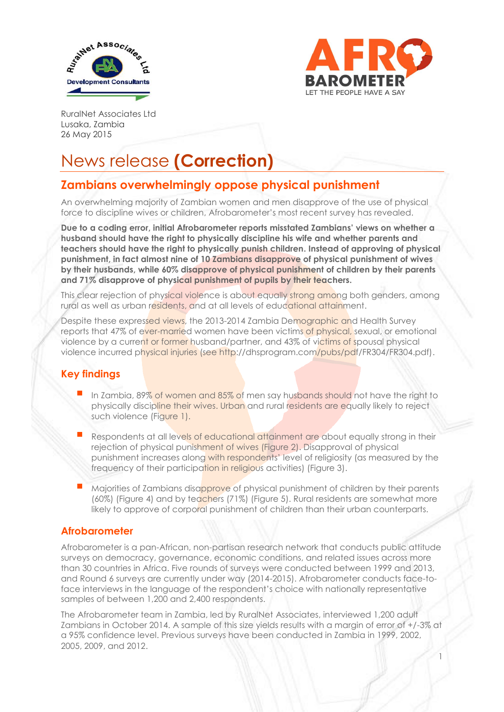



1

RuralNet Associates Ltd Lusaka, Zambia 26 May 2015

# News release **(Correction)**

# **Zambians overwhelmingly oppose physical punishment**

An overwhelming majority of Zambian women and men disapprove of the use of physical force to discipline wives or children, Afrobarometer's most recent survey has revealed.

**Due to a coding error, initial Afrobarometer reports misstated Zambians' views on whether a husband should have the right to physically discipline his wife and whether parents and teachers should have the right to physically punish children. Instead of approving of physical punishment, in fact almost nine of 10 Zambians disapprove of physical punishment of wives by their husbands, while 60% disapprove of physical punishment of children by their parents and 71% disapprove of physical punishment of pupils by their teachers.**

This clear rejection of physical violence is about equally strong among both genders, among rural as well as urban residents, and at all levels of educational attainment.

Despite these expressed views, the 2013-2014 Zambia Demographic and Health Survey reports that 47% of ever-married women have been victims of physical, sexual, or emotional violence by a current or former husband/partner, and 43% of victims of spousal physical violence incurred physical injuries (see http://dhsprogram.com/pubs/pdf/FR304/FR304.pdf).

## **Key findings**

- In Zambia, 89% of women and 85% of men say husbands should not have the right to physically discipline their wives. Urban and rural residents are equally likely to reject such violence (Figure 1).
- Respondents at all levels of educational attainment are about equally strong in their rejection of physical punishment of wives (Figure 2). Disapproval of physical punishment increases along with respondents' level of religiosity (as measured by the frequency of their participation in religious activities) (Figure 3).
- Majorities of Zambians disapprove of physical punishment of children by their parents (60%) (Figure 4) and by teachers (71%) (Figure 5). Rural residents are somewhat more likely to approve of corporal punishment of children than their urban counterparts.

#### **Afrobarometer**

Afrobarometer is a pan-African, non-partisan research network that conducts public attitude surveys on democracy, governance, economic conditions, and related issues across more than 30 countries in Africa. Five rounds of surveys were conducted between 1999 and 2013, and Round 6 surveys are currently under way (2014-2015). Afrobarometer conducts face-toface interviews in the language of the respondent's choice with nationally representative samples of between 1,200 and 2,400 respondents.

The Afrobarometer team in Zambia, led by RuralNet Associates, interviewed 1,200 adult Zambians in October 2014. A sample of this size yields results with a margin of error of +/-3% at a 95% confidence level. Previous surveys have been conducted in Zambia in 1999, 2002, 2005, 2009, and 2012.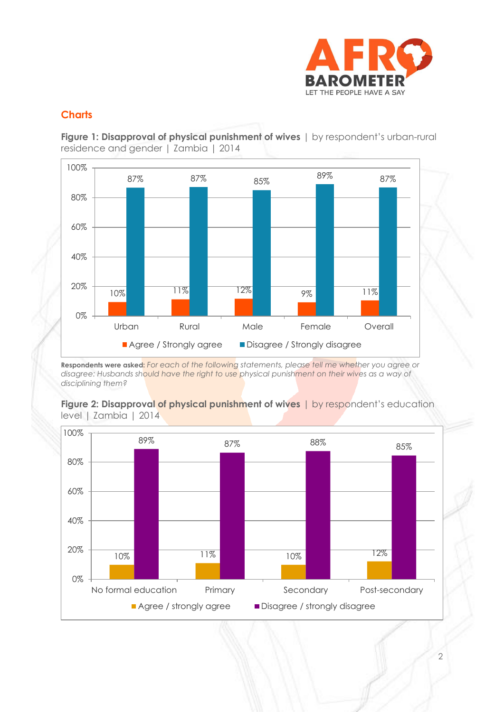

### **Charts**

**Figure 1: Disapproval of physical punishment of wives**  $\vert$  by respondent's urban-rural residence and gender | Zambia | 2014



**Respondents were asked:** *For each of the following statements, please tell me whether you agree or disagree: Husbands should have the right to use physical punishment on their wives as a way of disciplining them?*



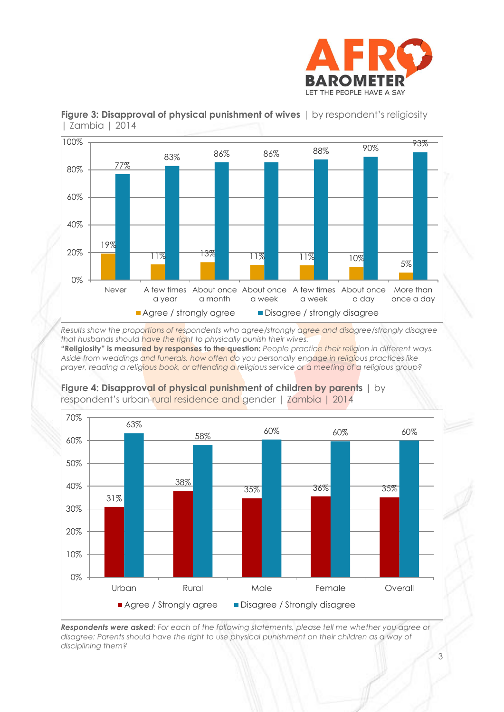



#### **Figure 3: Disapproval of physical punishment of wives**  $\vert$  by respondent's religiosity | Zambia | 2014

*Results show the proportions of respondents who agree/strongly agree and disagree/strongly disagree that husbands should have the right to physically punish their wives.*

**"Religiosity" is measured by responses to the question:** *People practice their religion in different ways. Aside from weddings and funerals, how often do you personally engage in religious practices like prayer, reading a religious book, or attending a religious service or a meeting of a religious group?*



**Figure 4: Disapproval of physical punishment of children by parents** | by respondent's urban-rural residence and gender | Zambia | 2014

*Respondents were asked: For each of the following statements, please tell me whether you agree or disagree: Parents should have the right to use physical punishment on their children as a way of disciplining them?*